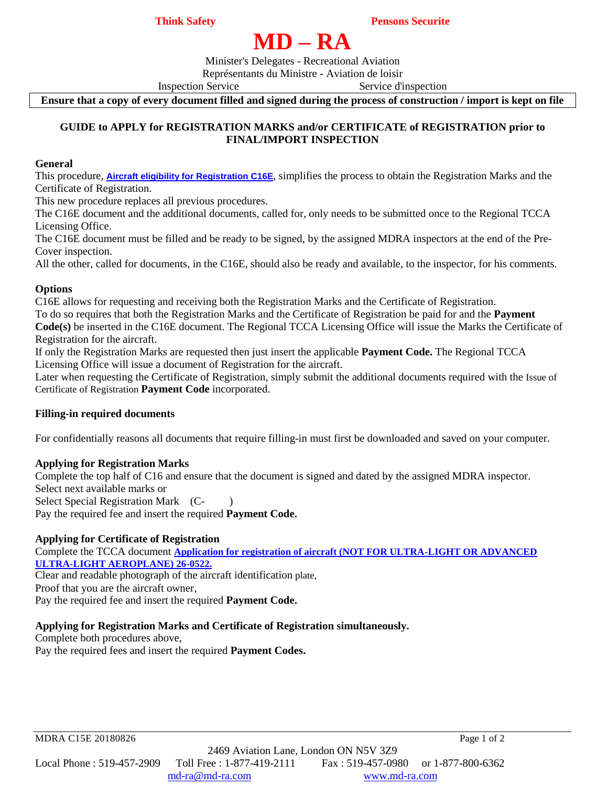**Think Safety** Pensons Securite

# **MD – RA**

Minister's Delegates - Recreational Aviation

Représentants du Ministre - Aviation de loisir

Inspection Service Service Service d'inspection

**Ensure that a copy of every document filled and signed during the process of construction / import is kept on file**

#### **GUIDE to APPLY for REGISTRATION MARKS and/or CERTIFICATE of REGISTRATION prior to FINAL/IMPORT INSPECTION**

#### **General**

This procedure, **[Aircraft eligibility for Registration C16E](http://www.md-ra.com/docs/C16-Eligibility.pdf)**, simplifies the process to obtain the Registration Marks and the Certificate of Registration.

This new procedure replaces all previous procedures.

The C16E document and the additional documents, called for, only needs to be submitted once to the Regional TCCA Licensing Office.

The C16E document must be filled and be ready to be signed, by the assigned MDRA inspectors at the end of the Pre-Cover inspection.

All the other, called for documents, in the C16E, should also be ready and available, to the inspector, for his comments.

#### **Options**

C16E allows for requesting and receiving both the Registration Marks and the Certificate of Registration. To do so requires that both the Registration Marks and the Certificate of Registration be paid for and the **Payment Code(s)** be inserted in the C16E document. The Regional TCCA Licensing Office will issue the Marks the Certificate of Registration for the aircraft.

If only the Registration Marks are requested then just insert the applicable **Payment Code.** The Regional TCCA Licensing Office will issue a document of Registration for the aircraft.

Later when requesting the Certificate of Registration, simply submit the additional documents required with the Issue of Certificate of Registration **Payment Code** incorporated.

#### **Filling-in required documents**

For confidentially reasons all documents that require filling-in must first be downloaded and saved on your computer.

#### **Applying for Registration Marks**

Complete the top half of C16 and ensure that the document is signed and dated by the assigned MDRA inspector. Select next available marks or Select Special Registration Mark (C- ) Pay the required fee and insert the required **Payment Code.**

#### **Applying for Certificate of Registration**

Complete the TCCA document **[Application for registration of aircraft \(NOT FOR ULTRA-LIGHT OR ADVANCED](http://www.md-ra.com/docs/26-0522E_1405-04_E.pdf)  [ULTRA-LIGHT AEROPLANE\) 26-0522.](http://www.md-ra.com/docs/26-0522E_1405-04_E.pdf)**

Clear and readable photograph of the aircraft identification plate,

Proof that you are the aircraft owner,

Pay the required fee and insert the required **Payment Code.**

#### **Applying for Registration Marks and Certificate of Registration simultaneously.**

Complete both procedures above,

Pay the required fees and insert the required **Payment Codes.**